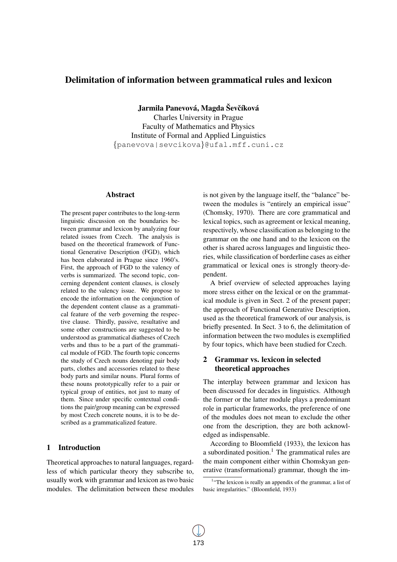# Delimitation of information between grammatical rules and lexicon

Jarmila Panevová, Magda Ševčíková Charles University in Prague Faculty of Mathematics and Physics Institute of Formal and Applied Linguistics {panevova|sevcikova}@ufal.mff.cuni.cz

## Abstract

The present paper contributes to the long-term linguistic discussion on the boundaries between grammar and lexicon by analyzing four related issues from Czech. The analysis is based on the theoretical framework of Functional Generative Description (FGD), which has been elaborated in Prague since 1960's. First, the approach of FGD to the valency of verbs is summarized. The second topic, concerning dependent content clauses, is closely related to the valency issue. We propose to encode the information on the conjunction of the dependent content clause as a grammatical feature of the verb governing the respective clause. Thirdly, passive, resultative and some other constructions are suggested to be understood as grammatical diatheses of Czech verbs and thus to be a part of the grammatical module of FGD. The fourth topic concerns the study of Czech nouns denoting pair body parts, clothes and accessories related to these body parts and similar nouns. Plural forms of these nouns prototypically refer to a pair or typical group of entities, not just to many of them. Since under specific contextual conditions the pair/group meaning can be expressed by most Czech concrete nouns, it is to be described as a grammaticalized feature.

## 1 Introduction

Theoretical approaches to natural languages, regardless of which particular theory they subscribe to, usually work with grammar and lexicon as two basic modules. The delimitation between these modules is not given by the language itself, the "balance" between the modules is "entirely an empirical issue" (Chomsky, 1970). There are core grammatical and lexical topics, such as agreement or lexical meaning, respectively, whose classification as belonging to the grammar on the one hand and to the lexicon on the other is shared across languages and linguistic theories, while classification of borderline cases as either grammatical or lexical ones is strongly theory-dependent.

A brief overview of selected approaches laying more stress either on the lexical or on the grammatical module is given in Sect. 2 of the present paper; the approach of Functional Generative Description, used as the theoretical framework of our analysis, is briefly presented. In Sect. 3 to 6, the delimitation of information between the two modules is exemplified by four topics, which have been studied for Czech.

## 2 Grammar vs. lexicon in selected theoretical approaches

The interplay between grammar and lexicon has been discussed for decades in linguistics. Although the former or the latter module plays a predominant role in particular frameworks, the preference of one of the modules does not mean to exclude the other one from the description, they are both acknowledged as indispensable.

According to Bloomfield (1933), the lexicon has a subordinated position.<sup>1</sup> The grammatical rules are the main component either within Chomskyan generative (transformational) grammar, though the im-

<sup>&</sup>lt;sup>1</sup>"The lexicon is really an appendix of the grammar, a list of basic irregularities." (Bloomfield, 1933)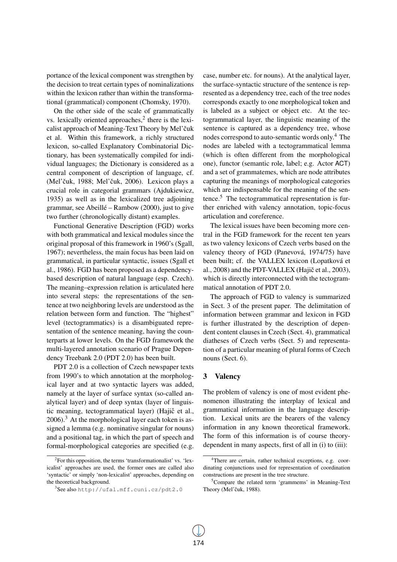portance of the lexical component was strengthen by the decision to treat certain types of nominalizations within the lexicon rather than within the transformational (grammatical) component (Chomsky, 1970).

On the other side of the scale of grammatically vs. lexically oriented approaches, $<sup>2</sup>$  there is the lexi-</sup> calist approach of Meaning-Text Theory by Mel'čuk et al. Within this framework, a richly structured lexicon, so-called Explanatory Combinatorial Dictionary, has been systematically compiled for individual languages; the Dictionary is considered as a central component of description of language, cf. (Mel'čuk, 1988; Mel'čuk, 2006). Lexicon plays a crucial role in categorial grammars (Ajdukiewicz, 1935) as well as in the lexicalized tree adjoining grammar, see Abeillé – Rambow  $(2000)$ , just to give two further (chronologically distant) examples.

Functional Generative Description (FGD) works with both grammatical and lexical modules since the original proposal of this framework in 1960's (Sgall, 1967); nevertheless, the main focus has been laid on grammatical, in particular syntactic, issues (Sgall et al., 1986). FGD has been proposed as a dependencybased description of natural language (esp. Czech). The meaning–expression relation is articulated here into several steps: the representations of the sentence at two neighboring levels are understood as the relation between form and function. The "highest" level (tectogrammatics) is a disambiguated representation of the sentence meaning, having the counterparts at lower levels. On the FGD framework the multi-layered annotation scenario of Prague Dependency Treebank 2.0 (PDT 2.0) has been built.

PDT 2.0 is a collection of Czech newspaper texts from 1990's to which annotation at the morphological layer and at two syntactic layers was added, namely at the layer of surface syntax (so-called analytical layer) and of deep syntax (layer of linguistic meaning, tectogrammatical layer) (Hajič et al.,  $2006$ .<sup>3</sup> At the morphological layer each token is assigned a lemma (e.g. nominative singular for nouns) and a positional tag, in which the part of speech and formal-morphological categories are specified (e.g. case, number etc. for nouns). At the analytical layer, the surface-syntactic structure of the sentence is represented as a dependency tree, each of the tree nodes corresponds exactly to one morphological token and is labeled as a subject or object etc. At the tectogrammatical layer, the linguistic meaning of the sentence is captured as a dependency tree, whose nodes correspond to auto-semantic words only.<sup>4</sup> The nodes are labeled with a tectogrammatical lemma (which is often different from the morphological one), functor (semantic role, label; e.g. Actor ACT) and a set of grammatemes, which are node attributes capturing the meanings of morphological categories which are indispensable for the meaning of the sentence.<sup>5</sup> The tectogrammatical representation is further enriched with valency annotation, topic-focus articulation and coreference.

The lexical issues have been becoming more central in the FGD framework for the recent ten years as two valency lexicons of Czech verbs based on the valency theory of FGD (Panevová, 1974/75) have been built; cf. the VALLEX lexicon (Lopatková et al.,  $2008$ ) and the PDT-VALLEX (Hajič et al.,  $2003$ ), which is directly interconnected with the tectogrammatical annotation of PDT 2.0.

The approach of FGD to valency is summarized in Sect. 3 of the present paper. The delimitation of information between grammar and lexicon in FGD is further illustrated by the description of dependent content clauses in Czech (Sect. 4), grammatical diatheses of Czech verbs (Sect. 5) and representation of a particular meaning of plural forms of Czech nouns (Sect. 6).

#### 3 Valency

The problem of valency is one of most evident phenomenon illustrating the interplay of lexical and grammatical information in the language description. Lexical units are the bearers of the valency information in any known theoretical framework. The form of this information is of course theorydependent in many aspects, first of all in (i) to (iii):

 $2^2$ For this opposition, the terms 'transformationalist' vs. 'lexicalist' approaches are used, the former ones are called also 'syntactic' or simply 'non-lexicalist' approaches, depending on the theoretical background.

<sup>3</sup>See also http://ufal.mff.cuni.cz/pdt2.0

<sup>&</sup>lt;sup>4</sup>There are certain, rather technical exceptions, e.g. coordinating conjunctions used for representation of coordination constructions are present in the tree structure.

<sup>5</sup>Compare the related term 'grammems' in Meaning-Text Theory (Mel'čuk, 1988).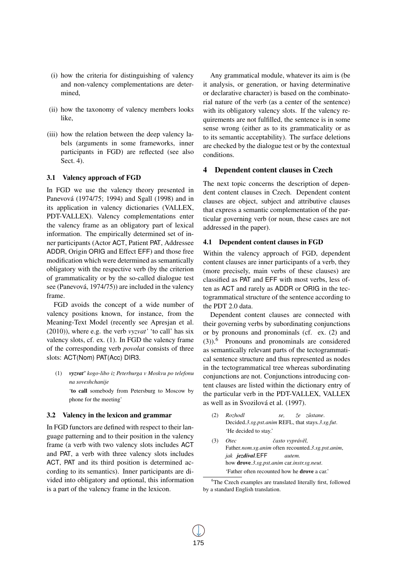- (i) how the criteria for distinguishing of valency and non-valency complementations are determined,
- (ii) how the taxonomy of valency members looks like,
- (iii) how the relation between the deep valency labels (arguments in some frameworks, inner participants in FGD) are reflected (see also Sect. 4).

#### 3.1 Valency approach of FGD

In FGD we use the valency theory presented in Panevová (1974/75; 1994) and Sgall (1998) and in its application in valency dictionaries (VALLEX, PDT-VALLEX). Valency complementations enter the valency frame as an obligatory part of lexical information. The empirically determined set of inner participants (Actor ACT, Patient PAT, Addressee ADDR, Origin ORIG and Effect EFF) and those free modification which were determined as semantically obligatory with the respective verb (by the criterion of grammaticality or by the so-called dialogue test see (Panevová, 1974/75)) are included in the valency frame.

FGD avoids the concept of a wide number of valency positions known, for instance, from the Meaning-Text Model (recently see Apresjan et al. (2010)), where e.g. the verb *vyzvat'* 'to call' has six valency slots, cf. ex. (1). In FGD the valency frame of the corresponding verb *povolat* consists of three slots: ACT(Nom) PAT(Acc) DIR3.

(1) *vyzvat' kogo-libo iz Peterburga v Moskvu po telefonu na soveshchanije* 'to call somebody from Petersburg to Moscow by phone for the meeting'

#### 3.2 Valency in the lexicon and grammar

In FGD functors are defined with respect to their language patterning and to their position in the valency frame (a verb with two valency slots includes ACT and PAT, a verb with three valency slots includes ACT, PAT and its third position is determined according to its semantics). Inner participants are divided into obligatory and optional, this information is a part of the valency frame in the lexicon.

Any grammatical module, whatever its aim is (be it analysis, or generation, or having determinative or declarative character) is based on the combinatorial nature of the verb (as a center of the sentence) with its obligatory valency slots. If the valency requirements are not fulfilled, the sentence is in some sense wrong (either as to its grammaticality or as to its semantic acceptability). The surface deletions are checked by the dialogue test or by the contextual conditions.

## 4 Dependent content clauses in Czech

The next topic concerns the description of dependent content clauses in Czech. Dependent content clauses are object, subject and attributive clauses that express a semantic complementation of the particular governing verb (or noun, these cases are not addressed in the paper).

## 4.1 Dependent content clauses in FGD

Within the valency approach of FGD, dependent content clauses are inner participants of a verb, they (more precisely, main verbs of these clauses) are classified as PAT and EFF with most verbs, less often as ACT and rarely as ADDR or ORIG in the tectogrammatical structure of the sentence according to the PDT 2.0 data.

Dependent content clauses are connected with their governing verbs by subordinating conjunctions or by pronouns and pronominals (cf. ex. (2) and (3)).<sup>6</sup> Pronouns and pronominals are considered as semantically relevant parts of the tectogrammatical sentence structure and thus represented as nodes in the tectogrammatical tree whereas subordinating conjunctions are not. Conjunctions introducing content clauses are listed within the dictionary entry of the particular verb in the PDT-VALLEX, VALLEX as well as in Svozilová et al. (1997).

- (2) *Rozhodl* Decided*.3.sg.pst.anim* REFL, that stays*.3.sg.fut*. *se, zeˇ zustane ˚* . 'He decided to stay.'
- (3) *Otec* Father*.nom.sg.anim* often recounted*.3.sg.pst.anim*, *casto ˇ vyprav´ el, ˇ jak jezd´ıval*.EFF how drove*.3.sg.pst.anim* car*.instr.sg.neut*. *autem.* 'Father often recounted how he drove a car.'

<sup>6</sup>The Czech examples are translated literally first, followed by a standard English translation.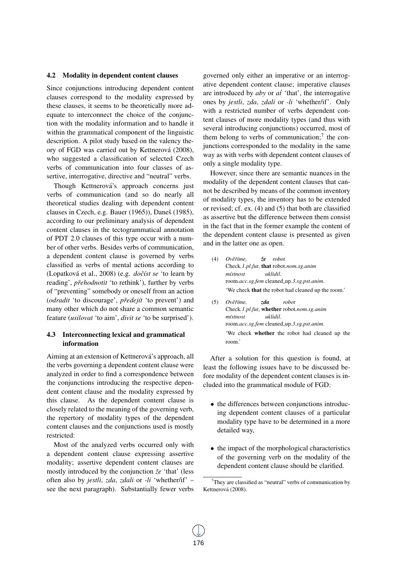## 4.2 Modality in dependent content clauses

Since conjunctions introducing dependent content clauses correspond to the modality expressed by these clauses, it seems to be theoretically more adequate to interconnect the choice of the conjunction with the modality information and to handle it within the grammatical component of the linguistic description. A pilot study based on the valency theory of FGD was carried out by Kettnerová (2008), who suggested a classification of selected Czech verbs of communication into four classes of assertive, interrogative, directive and "neutral" verbs.

Though Kettnerová's approach concerns just verbs of communication (and so do nearly all theoretical studies dealing with dependent content clauses in Czech, e.g. Bauer  $(1965)$ ), Daneš  $(1985)$ , according to our preliminary analysis of dependent content clauses in the tectogrammatical annotation of PDT 2.0 clauses of this type occur with a number of other verbs. Besides verbs of communication, a dependent content clause is governed by verbs classified as verbs of mental actions according to (Lopatková et al., 2008) (e.g. *dočíst se* 'to learn by reading', *přehodnotit* 'to rethink'), further by verbs of "preventing" somebody or oneself from an action (*odradit* 'to discourage', *předejít* 'to prevent') and many other which do not share a common semantic feature (*usilovat* 'to aim', *divit se* 'to be surprised').

## 4.3 Interconnecting lexical and grammatical information

Aiming at an extension of Kettnerová's approach, all the verbs governing a dependent content clause were analyzed in order to find a correspondence between the conjunctions introducing the respective dependent content clause and the modality expressed by this clause. As the dependent content clause is closely related to the meaning of the governing verb, the repertory of modality types of the dependent content clauses and the conjunctions used is mostly restricted:

Most of the analyzed verbs occurred only with a dependent content clause expressing assertive modality; assertive dependent content clauses are mostly introduced by the conjunction  $\zeta e$ <sup>'</sup>that' (less often also by *jestli*, *zda*, *zdali* or *-li* 'whether/if' – see the next paragraph). Substantially fewer verbs governed only either an imperative or an interrogative dependent content clause; imperative clauses are introduced by *aby* or *at'* 'that', the interrogative ones by *jestli*, *zda*, *zdali* or *-li* 'whether/if'. Only with a restricted number of verbs dependent content clauses of more modality types (and thus with several introducing conjunctions) occurred, most of them belong to verbs of communication; $\frac{7}{1}$  the conjunctions corresponded to the modality in the same way as with verbs with dependent content clauses of only a single modality type.

However, since there are semantic nuances in the modality of the dependent content clauses that cannot be described by means of the common inventory of modality types, the inventory has to be extended or revised; cf. ex. (4) and (5) that both are classified as assertive but the difference between them consist in the fact that in the former example the content of the dependent content clause is presented as given and in the latter one as open.

- (4) *Oveˇrˇ´ıme,* Check*.1.pl.fut*, that robot*.nom.sg.anim zeˇ robot m´ıstnost* room*.acc.sg.fem* cleaned up*.3.sg.pst.anim*. *uklidil*. 'We check that the robot had cleaned up the room.'
- (5) *Oveˇrˇ´ıme,* Check*.1.pl.fut*, whether robot*.nom.sg.anim zda robot m´ıstnost* room*.acc.sg.fem* cleaned up*.3.sg.pst.anim*. *uklidil*. 'We check whether the robot had cleaned up the room.'

After a solution for this question is found, at least the following issues have to be discussed before modality of the dependent content clauses is included into the grammatical module of FGD:

- the differences between conjunctions introducing dependent content clauses of a particular modality type have to be determined in a more detailed way,
- the impact of the morphological characteristics of the governing verb on the modality of the dependent content clause should be clarified.

 $7$ They are classified as "neutral" verbs of communication by Kettnerová (2008).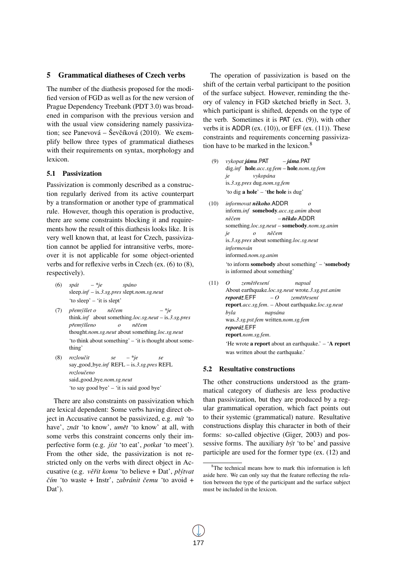### 5 Grammatical diatheses of Czech verbs

The number of the diathesis proposed for the modified version of FGD as well as for the new version of Prague Dependency Treebank (PDT 3.0) was broadened in comparison with the previous version and with the usual view considering namely passivization; see Panevová – Ševčíková (2010). We exemplify bellow three types of grammatical diatheses with their requirements on syntax, morphology and lexicon.

#### 5.1 Passivization

Passivization is commonly described as a construction regularly derived from its active counterpart by a transformation or another type of grammatical rule. However, though this operation is productive, there are some constraints blocking it and requirements how the result of this diathesis looks like. It is very well known that, at least for Czech, passivization cannot be applied for intransitive verbs, moreover it is not applicable for some object-oriented verbs and for reflexive verbs in Czech (ex. (6) to (8), respectively).

- (6) *spat´* sleep*.inf* – is*.3.sg.pres* slept*.nom.sg.neut* – *\*je spano ´* 'to sleep' – 'it is slept'
- (7) *premˇ y´slet ˇ o* think*.inf* about something*.loc.sg.neut* – is*.3.sg.pres neˇcemˇ* – *\*je premˇ y´sleno ˇ* thought*.nom.sg.neut* about something*.loc.sg.neut o neˇcemˇ* 'to think about something' – 'it is thought about something'
- (8) *rozloucit ˇ* say good bye*.inf* REFL – is*.3.sg.pres* REFL *se* – *\*je se rozlouceno ˇ* said good bye*.nom.sg.neut* 'to say good bye' – 'it is said good bye'

There are also constraints on passivization which are lexical dependent: Some verbs having direct object in Accusative cannot be passivized, e.g. *m´ıt* 'to have', *znát* 'to know', *umět* 'to know' at all, with some verbs this constraint concerns only their imperfective form (e.g. *j´ıst* 'to eat', *potkat* 'to meet'). From the other side, the passivization is not restricted only on the verbs with direct object in Accusative (e.g. *věřit komu* 'to believe + Dat', *plýtvat cˇ´ım* 'to waste + Instr', *zabranit ´ cemu ˇ* 'to avoid + Dat').

The operation of passivization is based on the shift of the certain verbal participant to the position of the surface subject. However, reminding the theory of valency in FGD sketched briefly in Sect. 3, which participant is shifted, depends on the type of the verb. Sometimes it is PAT (ex. (9)), with other verbs it is ADDR (ex.  $(10)$ ), or EFF (ex.  $(11)$ ). These constraints and requirements concerning passivization have to be marked in the lexicon.<sup>8</sup>

- (9) *vykopat jamu ´* .PAT dig*.inf* hole*.acc.sg.fem* – hole*.nom.sg.fem* – *jama ´* .PAT *je* is*.3.sg.pres* dug*.nom.sg.fem vykopana ´* 'to dig a hole' – 'the hole is dug'
- (10) *informovat nekoho ˇ* .ADDR inform*.inf* somebody*.acc.sg.anim* about *o neˇcemˇ* something*.loc.sg.neut* – somebody*.nom.sg.anim* – *nekdo ˇ* .ADDR *je* is*.3.sg.pres* about something*.loc.sg.neut o neˇcemˇ*  $\lim$ *formován* informed*.nom.sg.anim* 'to inform somebody about something' – 'somebody is informed about something'
- (11) *O* About earthquake*.loc.sg.neut* wrote*.3.sg.pst.anim*  $z$ *emětřesení napsal repora´zˇ*.EFF report*.acc.sg.fem*. – About earthquake*.loc.sg.neut* – *O zemetˇ resen ˇ ´ı byla* was*.3.sg.pst.fem* written*.nom.sg.fem napsana ´ repora´zˇ*.EFF report*.nom.sg.fem*. 'He wrote a report about an earthquake.' – 'A report was written about the earthquake.'

#### 5.2 Resultative constructions

The other constructions understood as the grammatical category of diathesis are less productive than passivization, but they are produced by a regular grammatical operation, which fact points out to their systemic (grammatical) nature. Resultative constructions display this character in both of their forms: so-called objective (Giger, 2003) and possessive forms. The auxiliary *b*yt 'to be' and passive participle are used for the former type (ex. (12) and

<sup>8</sup>The technical means how to mark this information is left aside here. We can only say that the feature reflecting the relation between the type of the participant and the surface subject must be included in the lexicon.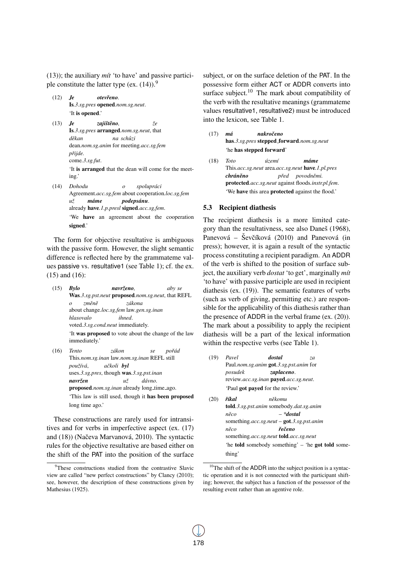(13)); the auxiliary  $m\hat{i}t$  'to have' and passive participle constitute the latter type (ex.  $(14)$ ).<sup>9</sup>

- (12) *Je* Is*.3.sg.pres* opened*.nom.sg.neut*.  $otevřeno.$ 'It is opened.'
- (13) *Je* Is*.3.sg.pres* arranged*.nom.sg.neut*, that  $z$ *ajištěno*,  $\check{z}$  $\epsilon$ *dekan ˇ* dean*.nom.sg.anim* for meeting*.acc.sg.fem na schuzi ˚ prijde. ˇ* come*.3.sg.fut*. 'It is arranged that the dean will come for the meeting.' (14) *Dohodu* Agreement*.acc.sg.fem* about cooperation*.loc.sg.fem o spolupraci ´*
	- *uzˇ* already have*.1.p.presl* signed*.acc.sg.fem*. *mame ´ podepsanu ´* . 'We have an agreement about the cooperation signed.'

The form for objective resultative is ambiguous with the passive form. However, the slight semantic difference is reflected here by the grammateme values passive vs. resultative1 (see Table 1); cf. the ex. (15) and (16):

- (15) *Bylo* Was*.3.sg.pst.neut* proposed*.nom.sg.neut*, that REFL  $navrženo$ *aby se o* about change*.loc.sg.fem* law*.gen.sg.inan zmenˇ eˇ zakona ´ hlasovalo* voted*.3.sg.cond.neut* immediately. *ihned*. 'It was proposed to vote about the change of the law immediately.' (16) *Tento zakon ´ se porˇad´*
- This*.nom.sg.inan* law*.nom.sg.inan* REFL still *pouzˇ´ıva´*, uses*.3.sg.pres*, though was*.3.sg.pst.inan ackoli ˇ byl navrzen ˇ* proposed.nom.sg.inan already long\_time\_ago. *uzˇ davno. ´* 'This law is still used, though it has been proposed long time ago.'

These constructions are rarely used for intransitives and for verbs in imperfective aspect (ex. (17) and (18)) (Načeva Marvanová, 2010). The syntactic rules for the objective resultative are based either on the shift of the PAT into the position of the surface

subject, or on the surface deletion of the PAT. In the possessive form either ACT or ADDR converts into surface subject. $10$  The mark about compatibility of the verb with the resultative meanings (grammateme values resultative1, resultative2) must be introduced into the lexicon, see Table 1.

- (17) *ma´* has*.3.sg.pres* stepped forward*.nom.sg.neut nakroceno ˇ* 'he has stepped forward'
- (18) *Toto* This*.acc.sg.neut* area*.acc.sg.neut* have*.1.pl.pres uzem ´ ´ı mame ´ chran´ eno ˇ* protected*.acc.sg.neut* against floods*.instr.pl.fem*. *pred ˇ povodnemi. ˇ* 'We have this area protected against the flood.'

#### 5.3 Recipient diathesis

The recipient diathesis is a more limited category than the resultativness, see also Daneš  $(1968)$ , Panevová – Ševčíková (2010) and Panevová (in press); however, it is again a result of the syntactic process constituting a recipient paradigm. An ADDR of the verb is shifted to the position of surface subject, the auxiliary verb *dostat* 'to get', marginally *m´ıt* 'to have' with passive participle are used in recipient diathesis (ex. (19)). The semantic features of verbs (such as verb of giving, permitting etc.) are responsible for the applicability of this diathesis rather than the presence of ADDR in the verbal frame (ex. (20)). The mark about a possibility to apply the recipient diathesis will be a part of the lexical information within the respective verbs (see Table 1).

(19) *Pavel* Paul*.nom.sg.anim* got*.3.sg.pst.anim* for *dostal za posudek* review*.acc.sg.inan* payed*.acc.sg.neut*. *zaplaceno*. 'Paul got payed for the review.' (20) *rˇ´ıkal* told*.3.sg.pst.anim* somebody*.dat.sg.anim nekomu ˇ něco* something*.acc.sg.neut* – got*.3.sg.pst.anim* – *\*dostal*  $n \check{\varrho}$ *co* something*.acc.sg.neut* told*.acc.sg.neut reˇ ceno ˇ* 'he told somebody something' – 'he got told something'

<sup>&</sup>lt;sup>9</sup>These constructions studied from the contrastive Slavic view are called "new perfect constructions" by Clancy (2010); see, however, the description of these constructions given by Mathesius (1925).

<sup>&</sup>lt;sup>10</sup>The shift of the ADDR into the subject position is a syntactic operation and it is not connected with the participant shifting; however, the subject has a function of the possessor of the resulting event rather than an agentive role.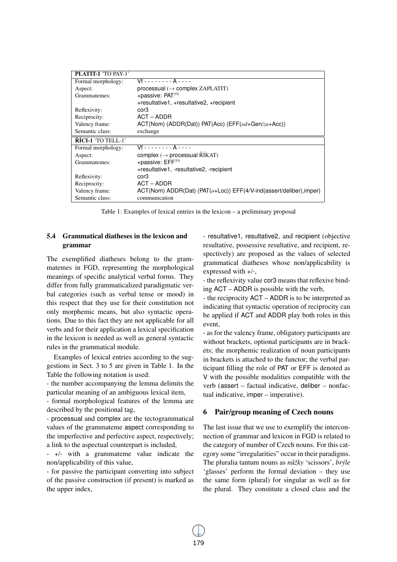| PLATIT-1 'TO PAY-1'       |                                                                           |
|---------------------------|---------------------------------------------------------------------------|
| Formal morphology:        |                                                                           |
| Aspect:                   | processual $(\rightarrow$ complex ZAPLATIT)                               |
| Grammatemes:              | +passive: $PAT^{Sb}$                                                      |
|                           | +resultative1, +resultative2, +recipient                                  |
| Reflexivity:              | cor3                                                                      |
| Reciprocity:              | ACT – ADDR                                                                |
| Valency frame:            | $ACT(Nom) (ADDR(Dat))$ PAT(Acc) (EFF( $od$ +Gen/ $za$ +Acc))              |
| Semantic class:           | exchange                                                                  |
| <b>ŘÍCI-1 'TO TELL-1'</b> |                                                                           |
| Formal morphology:        |                                                                           |
| Aspect:                   | complex ( $\rightarrow$ processual $\check{R}$ IKAT)                      |
| Grammatemes:              | +passive: $EFF^{Sb}$                                                      |
|                           | +resultative1, -resultative2, -recipient                                  |
| Reflexivity:              | cor3                                                                      |
| Reciprocity:              | ACT – ADDR                                                                |
| Valency frame:            | $ACT(Nom)$ ADDR(Dat) (PAT( $o+Loc$ )) EFF(4/V-ind(assert/deliber), imper) |
| Semantic class:           | communication                                                             |

Table 1: Examples of lexical entries in the lexicon – a preliminary proposal

## 5.4 Grammatical diatheses in the lexicon and grammar

The exemplified diatheses belong to the grammatemes in FGD, representing the morphological meanings of specific analytical verbal forms. They differ from fully grammaticalized paradigmatic verbal categories (such as verbal tense or mood) in this respect that they use for their constitution not only morphemic means, but also syntactic operations. Due to this fact they are not applicable for all verbs and for their application a lexical specification in the lexicon is needed as well as general syntactic rules in the grammatical module.

Examples of lexical entries according to the suggestions in Sect. 3 to 5 are given in Table 1. In the Table the following notation is used:

- the number accompanying the lemma delimits the particular meaning of an ambiguous lexical item,

- formal morphological features of the lemma are described by the positional tag,

- processual and complex are the tectogrammatical values of the grammateme aspect corresponding to the imperfective and perfective aspect, respectively; a link to the aspectual counterpart is included,

- +/- with a grammateme value indicate the non/applicability of this value,

- for passive the participant converting into subject of the passive construction (if present) is marked as the upper index,

- resultative1, resultative2, and recipient (objective resultative, possessive resultative, and recipient, respectively) are proposed as the values of selected grammatical diatheses whose non/applicability is expressed with +/-,

- the reflexivity value cor3 means that reflexive binding ACT – ADDR is possible with the verb,

- the reciprocity ACT – ADDR is to be interpreted as indicating that syntactic operation of reciprocity can be applied if ACT and ADDR play both roles in this event,

- as for the valency frame, obligatory participants are without brackets, optional participants are in brackets; the morphemic realization of noun participants in brackets is attached to the functor; the verbal participant filling the role of PAT or EFF is denoted as V with the possible modalities compatible with the verb (assert – factual indicative, deliber – nonfactual indicative, imper – imperative).

## 6 Pair/group meaning of Czech nouns

The last issue that we use to exemplify the interconnection of grammar and lexicon in FGD is related to the category of number of Czech nouns. For this category some "irregularities" occur in their paradigms. The pluralia tantum nouns as *nu˚zky ˇ* 'scissors', *bryle ´* 'glasses' perform the formal deviation – they use the same form (plural) for singular as well as for the plural. They constitute a closed class and the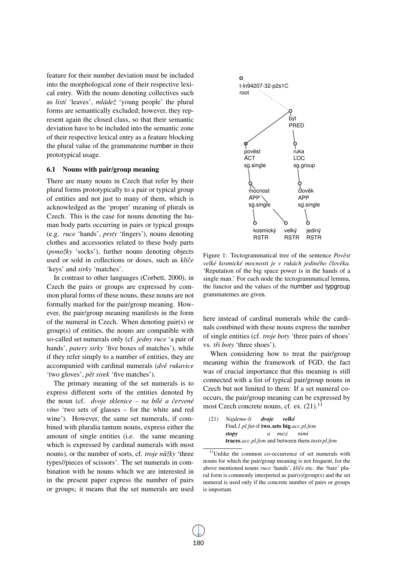feature for their number deviation must be included into the morphological zone of their respective lexical entry. With the nouns denoting collectives such as *listí* 'leaves', *mládež* 'young people' the plural forms are semantically excluded; however, they represent again the closed class, so that their semantic deviation have to be included into the semantic zone of their respective lexical entry as a feature blocking the plural value of the grammateme number in their prototypical usage.

#### 6.1 Nouns with pair/group meaning

There are many nouns in Czech that refer by their plural forms prototypically to a pair or typical group of entities and not just to many of them, which is acknowledged as the 'proper' meaning of plurals in Czech. This is the case for nouns denoting the human body parts occurring in pairs or typical groups (e.g. *ruce* 'hands', *prsty* 'fingers'), nouns denoting clothes and accessories related to these body parts (*ponozky ˇ* 'socks'), further nouns denoting objects used or sold in collections or doses, such as *klice* 'keys' and *sirky* 'matches'.

In contrast to other languages (Corbett, 2000), in Czech the pairs or groups are expressed by common plural forms of these nouns, these nouns are not formally marked for the pair/group meaning. However, the pair/group meaning manifests in the form of the numeral in Czech. When denoting pair(s) or group(s) of entities, the nouns are compatible with so-called set numerals only (cf. *jedny ruce* 'a pair of hands', *patery sirky* 'five boxes of matches'), while if they refer simply to a number of entities, they are accompanied with cardinal numerals (dvě rukavice 'two gloves', *pět sirek* 'five matches').

The primary meaning of the set numerals is to express different sorts of the entities denoted by the noun (cf. *dvoje sklenice – na bílé a červené vino* 'two sets of glasses – for the white and red wine'). However, the same set numerals, if combined with pluralia tantum nouns, express either the amount of single entities (i.e. the same meaning which is expressed by cardinal numerals with most nouns), or the number of sorts, cf. *troje nu˚zky ˇ* 'three types//pieces of scissors'. The set numerals in combination with he nouns which we are interested in in the present paper express the number of pairs or groups; it means that the set numerals are used



Figure 1: Tectogrammatical tree of the sentence *Pověst velke kosmick ´ e mocnosti je v ruk ´ ach jedin ´ eho ´ clov ˇ eka. ˇ* 'Reputation of the big space power is in the hands of a single man.' For each node the tectogrammatical lemma, the functor and the values of the number and typgroup grammatemes are given.

here instead of cardinal numerals while the cardinals combined with these nouns express the number of single entities (cf. *troje boty* 'three pairs of shoes' vs. *tri boty ˇ* 'three shoes').

When considering how to treat the pair/group meaning within the framework of FGD, the fact was of crucial importance that this meaning is still connected with a list of typical pair/group nouns in Czech but not limited to them: If a set numeral cooccurs, the pair/group meaning can be expressed by most Czech concrete nouns, cf. ex.  $(21)$ .<sup>11</sup>

(21) *Najdeme-li* Find*.1.pl.fut*-if two sets big*.acc.pl.fem dvoje velke´ stopy* traces*.acc.pl.fem* and between them*.instr.pl.fem a mezi nimi*

<sup>&</sup>lt;sup>11</sup>Unlike the common co-occurrence of set numerals with nouns for which the pair/group meaning is not frequent, for the above mentioned nouns *ruce* 'hands', *klíče* etc. the 'bare' plural form is commonly interpreted as pair(s)/group(s) and the set numeral is used only if the concrete number of pairs or groups is important.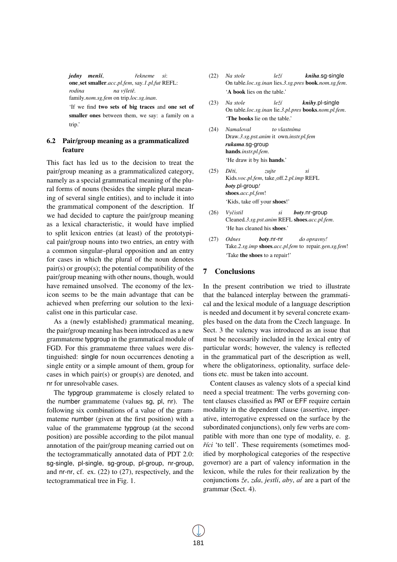*jedny mensˇ´ı*, one set smaller*.acc.pl.fem*, say*.1.pl.fut* REFL: *rekneme ˇ si*: *rodina* family*.nom.sg.fem* on trip*.loc.sg.inan*. *na* výletě. 'If we find two sets of big traces and one set of smaller ones between them, we say: a family on a

6.2 Pair/group meaning as a grammaticalized feature

trip.'

This fact has led us to the decision to treat the pair/group meaning as a grammaticalized category, namely as a special grammatical meaning of the plural forms of nouns (besides the simple plural meaning of several single entities), and to include it into the grammatical component of the description. If we had decided to capture the pair/group meaning as a lexical characteristic, it would have implied to split lexicon entries (at least) of the prototypical pair/group nouns into two entries, an entry with a common singular–plural opposition and an entry for cases in which the plural of the noun denotes pair(s) or group(s); the potential compatibility of the pair/group meaning with other nouns, though, would have remained unsolved. The economy of the lexicon seems to be the main advantage that can be achieved when preferring our solution to the lexicalist one in this particular case.

As a (newly established) grammatical meaning, the pair/group meaning has been introduced as a new grammateme typgroup in the grammatical module of FGD. For this grammateme three values were distinguished: single for noun occurrences denoting a single entity or a simple amount of them, group for cases in which pair(s) or group(s) are denoted, and nr for unresolvable cases.

The typgroup grammateme is closely related to the number grammateme (values sg, pl, nr). The following six combinations of a value of the grammateme number (given at the first position) with a value of the grammateme typgroup (at the second position) are possible according to the pilot manual annotation of the pair/group meaning carried out on the tectogrammatically annotated data of PDT 2.0: sg-single, pl-single, sg-group, pl-group, nr-group, and nr-nr, cf. ex. (22) to (27), respectively, and the tectogrammatical tree in Fig. 1.

- $(22)$ On table*.loc.sg.inan* lies*.3.sg.pres* book*.nom.sg.fem*. *stole lezˇ´ı kniha*.sg-single 'A book lies on the table.'
- $(23)$ On table*.loc.sg.inan* lie*.3.pl.pres* books*.nom.pl.fem*. *stole lezˇ´ı knihy*.pl-single 'The books lie on the table.'
- (24) *Namaloval* Draw*.3.sg.pst.anim* it own*.instr.pl.fem to vlastn´ıma rukama*.sg-group hands*.instr.pl.fem*. 'He draw it by his hands.'
- (25) *Deti, ˇ* Kids*.voc.pl.fem*, take off*.2.pl.imp* REFL *zujte si boty*.pl-group*!* shoes*.acc.pl.fem*! 'Kids, take off your shoes!'
- $(26)$  *Vyčistil* Cleaned*.3.sg.pst.anim* REFL shoes*.acc.pl.fem*. *si boty*.nr-group 'He has cleaned his shoes.'
- (27) *Odnes* Take*.2.sg.imp* shoes*.acc.pl.fem* to repair*.gen.sg.fem*! *boty*.nr-nr *do opravny!* 'Take the shoes to a repair!'

## 7 Conclusions

In the present contribution we tried to illustrate that the balanced interplay between the grammatical and the lexical module of a language description is needed and document it by several concrete examples based on the data from the Czech language. In Sect. 3 the valency was introduced as an issue that must be necessarily included in the lexical entry of particular words; however, the valency is reflected in the grammatical part of the description as well, where the obligatoriness, optionality, surface deletions etc. must be taken into account.

Content clauses as valency slots of a special kind need a special treatment: The verbs governing content clauses classified as PAT or EFF require certain modality in the dependent clause (assertive, imperative, interrogative expressed on the surface by the subordinated conjunctions), only few verbs are compatible with more than one type of modality, e. g. *říci* 'to tell'. These requirements (sometimes modified by morphological categories of the respective governor) are a part of valency information in the lexicon, while the rules for their realization by the conjunctions *zeˇ* , *zda*, *jestli*, *aby*, *at'* are a part of the grammar (Sect. 4).